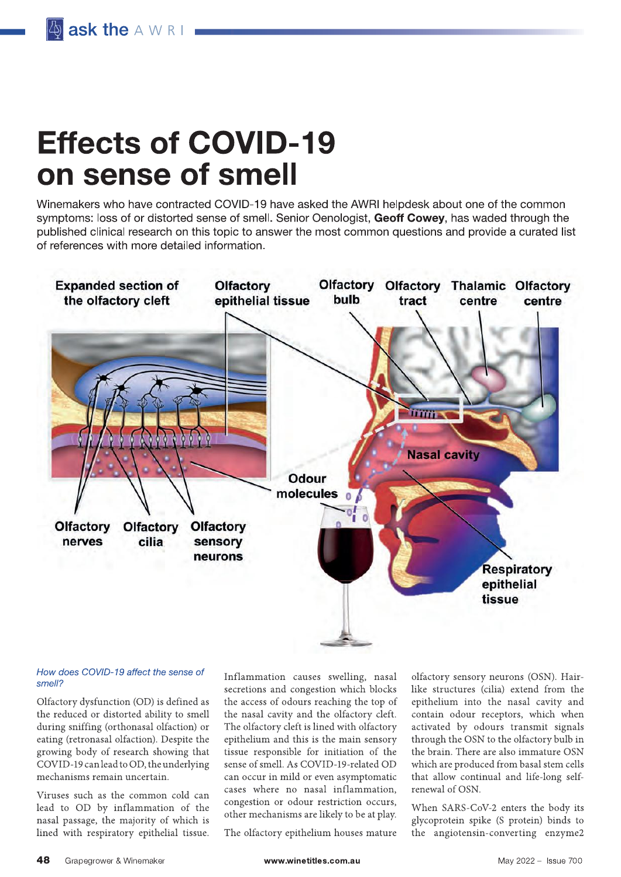# Effects of COVID-19<br>on sense of smell

Winemakers who have contracted COVID-19 have asked the AWRI helpdesk about one of the common symptoms: loss of or distorted sense of smell. Senior Oenologist, Geoff Cowey, has waded through the published clinical research on this topic to answer the most common questions and provide a curated list of references with more detailed information.



### How does COVID-19 affect the sense of  $smell?$

Olfactory dysfunction (OD) is defined as the reduced or distorted ability to smell during sniffing (orthonasal olfaction) or eating (retronasal olfaction). Despite the growing body of research showing that COVID-19 can lead to OD, the underlying mechanisms remain uncertain.

Viruses such as the common cold can lead to OD by inflammation of the nasal passage, the majority of which is lined with respiratory epithelial tissue.

when SARS-CoV-2 enters the body its<br>piralmmation of the majority of which is<br>piratory epithelial tissue. The olfactory epithelium houses mature<br>wer & Winemaker **www.winetitles.com.au** May 2022 – Issue 700 Inflammation causes swelling, nasal secretions and congestion which blocks the access of odours reaching the top of the nasal cavity and the olfactory cleft. The olfactory cleft is lined with olfactory epithelium and this is the main sensory tissue responsible for initiation of the sense of smell. As COVID-19-related OD can occur in mild or even asymptomatic cases where no nasal inflammation, congestion or odour restriction occurs, other mechanisms are likely to be at play.

The olfactory epithelium houses mature

olfactory sensory neurons (OSN). Hairlike structures (cilia) extend from the epithelium into the nasal cavity and contain odour receptors, which when activated by odours transmit signals through the OSN to the olfactory bulb in the brain. There are also immature OSN which are produced from basal stem cells that allow continual and life-long selfrenewal of OSN.

When SARS-CoV-2 enters the body its glycoprotein spike (S protein) binds to the angiotensin-converting enzyme2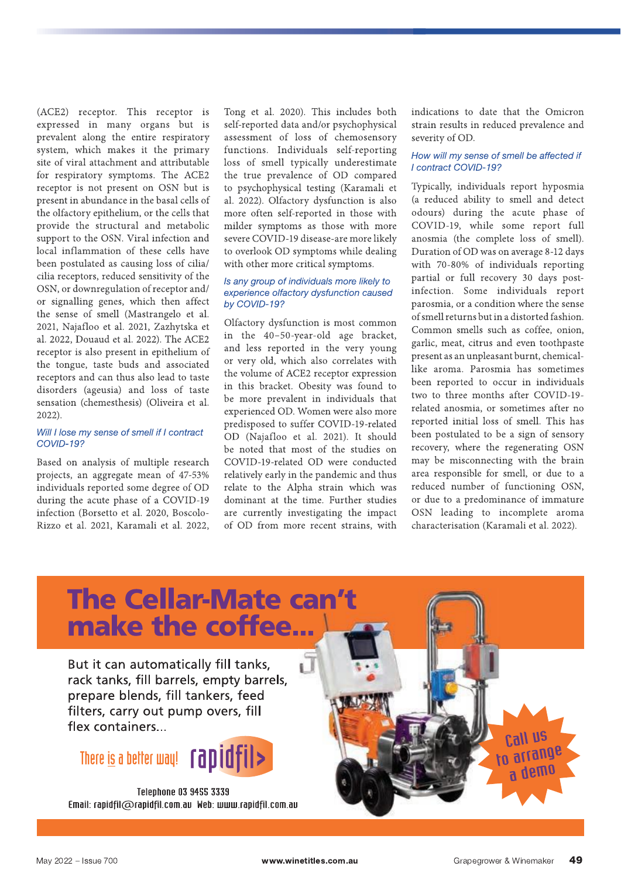receptor is also present in epithelium of and less reported in the very yither tongue, taste buds and associated or very old, which also correlates receptors and can thus also lead to taste the volume of ACE2 receptor expr (ACE2) receptor. This receptor is expressed in many organs but is prevalent along the entire respiratory system, which makes it the primary site of viral attachment and attributable for respiratory symptoms. The ACE2 receptor is not present on OSN but is present in abundance in the basal cells of the olfactory epithelium, or the cells that provide the structural and metabolic support to the OSN. Viral infection and local inflammation of these cells have been postulated as causing loss of cilia/ cilia receptors, reduced sensitivity of the OSN, or downregulation of receptor and/ or signalling genes, which then affect the sense of smell (Mastrangelo et al. 2021, Najafloo et al. 2021, Zazhytska et al. 2022, Douaud et al. 2022). The ACE2 the tongue, taste buds and associated receptors and can thus also lead to taste disorders (ageusia) and loss of taste sensation (chemesthesis) (Oliveira et al.  $2022$ ).

### Will I lose my sense of smell if I contract COVID-19?

infection (Borsetto et al. 2020, Boscolo-<br>Bizzo et al. 2021, Karamali et al. 2022 on analysis of multiple research COVID-19 projects, an aggregate mean or  $47-55\%$ <br>individuals reported some degree of OD infection (Borsetto et al. 2020, Boscolo-<br>Rizzo et al. 2021, Karamali et al. 2022,  $\overline{\text{DE}}$  noted 1  $\frac{1}{2}$  projects, an aggregate mean of 47-53% relatively each Based on analysis of multiple research during the acute phase of a COVID-19

Tong et al. 2020). This includes both self-reported data and/or psychophysical assessment of loss of chemosensory functions. Individuals self-reporting loss of smell typically underestimate the true prevalence of OD compared to psychophysical testing (Karamali et al. 2022). Olfactory dysfunction is also more often self-reported in those with milder symptoms as those with more severe COVID-19 disease-are more likely to overlook OD symptoms while dealing with other more critical symptoms.

### Is any group of individuals more likely to experience olfactory dysfunction caused by COVID-19?

 $\overline{\phantom{a}}$  be noted that most of the studies on about the very separation of the very separation of the very separation of the very single, taste buds and associated or very old, which also correlates ors and can thus also lead to taste the volume of ACE2 receptor expre Olfactory dysfunction is most common in the 40-50-year-old age bracket, and less reported in the very young or very old, which also correlates with the volume of ACE2 receptor expression in this bracket. Obesity was found to be more prevalent in individuals that experienced OD. Women were also more predisposed to suffer COVID-19-related OD (Najafloo et al. 2021). It should COVID-19-related OD were conducted relatively early in the pandemic and thus relate to the Alpha strain which was dominant at the time. Further studies are currently investigating the impact of OD from more recent strains, with

indications to date that the Omicron strain results in reduced prevalence and severity of OD.

### How will my sense of smell be affected if I contract COVID-19?

Is any group of individuals more likely to partial or the treatment 30 days post-<br>experience other oby CoMD-197 partial or the community of the properties of the state of the properties of the community of the state of the experience of location of subsection and the time intervention and the properties of location of the subsection of subsection of the subsection of the subsection of the subsection of the subsection of the subsection of the is any group of monucous more likely to lead to the two to the two tractors in the control of the two proportions of a condition. Some individuals report by COVID-199<br>segmente of the sympatom of a condition where the sense Typically, individuals report hyposmia (a reduced ability to smell and detect odours) during the acute phase of COVID-19, while some report full anosmia (the complete loss of smell). Duration of OD was on average 8-12 days with 70-80% of individuals reporting partial or full recovery 30 days postinfection. Some individuals report parosmia, or a condition where the sense of smell returns but in a distorted fashion. Common smells such as coffee, onion, garlic, meat, citrus and even toothpaste present as an unpleasant burnt, chemicallike aroma. Parosmia has sometimes been reported to occur in individuals two to three months after COVID-19related anosmia, or sometimes after no reported initial loss of smell. This has been postulated to be a sign of sensory recovery, where the regenerating OSN may be misconnecting with the brain area responsible for smell, or due to a reduced number of functioning OSN, or due to a predominance of immature OSN leading to incomplete aroma characterisation (Karamali et al. 2022).

## The Cellar-Mate can't<br>make the coffee... make the coffee... ine Ceilar-Mate can't<br>make the coffee...

\Y[\OY[ZS[P]WXUMSSLOPV[YWXU[[]  $U(1, 2, 3)$   $U(1, 3, 4)$   $U(2, 3, 4)$  $U$  $\rho$ repare blends, fill tankers, feed filters, carry out pump overs, fill flex containers... But it can automatically fill tanks,<br>rack tanks, fill barrels, empty barrel<br>prepare blends, fill tankers, feed<br>filters, carry out pump overs, fill<br>flex containers... YONVLOPVWXUMSSZOYY[SWX[R\LTZOYY[SWX YONVLOPVWXUMSSZOYY[SWX[R\LTZOYY[SWX But it can automatically fill tanks,

()) There is a netter madi (,)<):F5D)GG)<E5HI (,)<):F5D)GG)<E5HI

relephone o3 9455 3339<br>pidfil@rapidfil.com.au Web: www.rapidfil.co 895:\*;<5+:=>:\*?<5+:=>:\*@A-9@5BC)D;EEE@<5+:=>:\*@A-9@5B 805: Lapinlii (2014) Filipinus Media Media Apinlii Connad<br>Email: Tapinlii (2014) Filipinus Media Media Apinlii Connad Telephone 03 9455 3339<br>Charles Caracter and Hob. www.caridfil.org 895:\*;<5+:=>:\*?<5+:=>:\*@A-9@5BC)D;EEE@<5+:=>:\*@A-9@5B ()\*)+,-.)/012330001456/012313707 ()\*)+,-.)/012330001456/012313707 895:\*;<5+:=>:\*?<5+:=>:\*@A-9@5BC)D;EEE@<5+:=>:\*@A-9@5B 895:\*;<5+:=>:\*?<5+:=>:\*@A-9@5BC)D;EEE@<5+:=>:\*@A-9@5B Telephone 03 9455 3339

 $\mathbb{R}^3$  ,  $\mathbb{R}^3$  ,  $\mathbb{R}^3$  ,  $\mathbb{R}^3$  ,  $\mathbb{R}^3$  ,  $\mathbb{R}^3$  ,  $\mathbb{R}^3$  ,  $\mathbb{R}^3$  ,  $\mathbb{R}^3$  ,  $\mathbb{R}^3$  ,  $\mathbb{R}^3$  ,  $\mathbb{R}^3$  ,  $\mathbb{R}^3$  ,  $\mathbb{R}^3$  ,  $\mathbb{R}^3$  ,  $\mathbb{R}^3$  ,  $\mathbb{R}^3$  ,

 $\mathbb{R}^3 \times \mathbb{R}^3 \times \mathbb{R}^3 \times \mathbb{R}^3 \times \mathbb{R}^3 \times \mathbb{R}^3 \times \mathbb{R}^3 \times \mathbb{R}^3 \times \mathbb{R}^3 \times \mathbb{R}^3 \times \mathbb{R}^3 \times \mathbb{R}^3 \times \mathbb{R}^3 \times \mathbb{R}^3 \times \mathbb{R}^3 \times \mathbb{R}^3 \times \mathbb{R}^3 \times \mathbb{R}^3 \times \mathbb{R}^3 \times \mathbb{R}^3 \times \mathbb{R}^3 \times \mathbb{R}^3 \times$